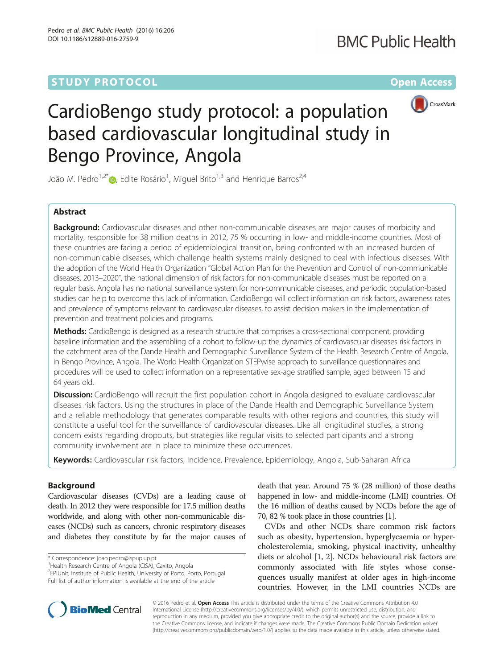# **STUDY PROTOCOL CONSUMING THE CONSUMING OPEN ACCESS**



# CardioBengo study protocol: a population based cardiovascular longitudinal study in Bengo Province, Angola

João M. Pedro<sup>1,2[\\*](http://orcid.org/0000-0003-2405-521X)</sup>®, Edite Rosário<sup>1</sup>, Miguel Brito<sup>1,3</sup> and Henrique Barros<sup>2,4</sup>

# Abstract

**Background:** Cardiovascular diseases and other non-communicable diseases are major causes of morbidity and mortality, responsible for 38 million deaths in 2012, 75 % occurring in low- and middle-income countries. Most of these countries are facing a period of epidemiological transition, being confronted with an increased burden of non-communicable diseases, which challenge health systems mainly designed to deal with infectious diseases. With the adoption of the World Health Organization "Global Action Plan for the Prevention and Control of non-communicable diseases, 2013–2020", the national dimension of risk factors for non-communicable diseases must be reported on a regular basis. Angola has no national surveillance system for non-communicable diseases, and periodic population-based studies can help to overcome this lack of information. CardioBengo will collect information on risk factors, awareness rates and prevalence of symptoms relevant to cardiovascular diseases, to assist decision makers in the implementation of prevention and treatment policies and programs.

Methods: CardioBengo is designed as a research structure that comprises a cross-sectional component, providing baseline information and the assembling of a cohort to follow-up the dynamics of cardiovascular diseases risk factors in the catchment area of the Dande Health and Demographic Surveillance System of the Health Research Centre of Angola, in Bengo Province, Angola. The World Health Organization STEPwise approach to surveillance questionnaires and procedures will be used to collect information on a representative sex-age stratified sample, aged between 15 and 64 years old.

Discussion: CardioBengo will recruit the first population cohort in Angola designed to evaluate cardiovascular diseases risk factors. Using the structures in place of the Dande Health and Demographic Surveillance System and a reliable methodology that generates comparable results with other regions and countries, this study will constitute a useful tool for the surveillance of cardiovascular diseases. Like all longitudinal studies, a strong concern exists regarding dropouts, but strategies like regular visits to selected participants and a strong community involvement are in place to minimize these occurrences.

Keywords: Cardiovascular risk factors, Incidence, Prevalence, Epidemiology, Angola, Sub-Saharan Africa

## Background

Cardiovascular diseases (CVDs) are a leading cause of death. In 2012 they were responsible for 17.5 million deaths worldwide, and along with other non-communicable diseases (NCDs) such as cancers, chronic respiratory diseases and diabetes they constitute by far the major causes of

\* Correspondence: [joao.pedro@ispup.up.pt](mailto:joao.pedro@ispup.up.pt) <sup>1</sup>

<sup>1</sup>Health Research Centre of Angola (CISA), Caxito, Angola

2 EPIUnit, Institute of Public Health, University of Porto, Porto, Portugal Full list of author information is available at the end of the article

death that year. Around 75 % (28 million) of those deaths happened in low- and middle-income (LMI) countries. Of the 16 million of deaths caused by NCDs before the age of 70, 82 % took place in those countries [[1](#page--1-0)].

CVDs and other NCDs share common risk factors such as obesity, hypertension, hyperglycaemia or hypercholesterolemia, smoking, physical inactivity, unhealthy diets or alcohol [[1, 2](#page--1-0)]. NCDs behavioural risk factors are commonly associated with life styles whose consequences usually manifest at older ages in high-income countries. However, in the LMI countries NCDs are



© 2016 Pedro et al. Open Access This article is distributed under the terms of the Creative Commons Attribution 4.0 International License [\(http://creativecommons.org/licenses/by/4.0/](http://creativecommons.org/licenses/by/4.0/)), which permits unrestricted use, distribution, and reproduction in any medium, provided you give appropriate credit to the original author(s) and the source, provide a link to the Creative Commons license, and indicate if changes were made. The Creative Commons Public Domain Dedication waiver [\(http://creativecommons.org/publicdomain/zero/1.0/](http://creativecommons.org/publicdomain/zero/1.0/)) applies to the data made available in this article, unless otherwise stated.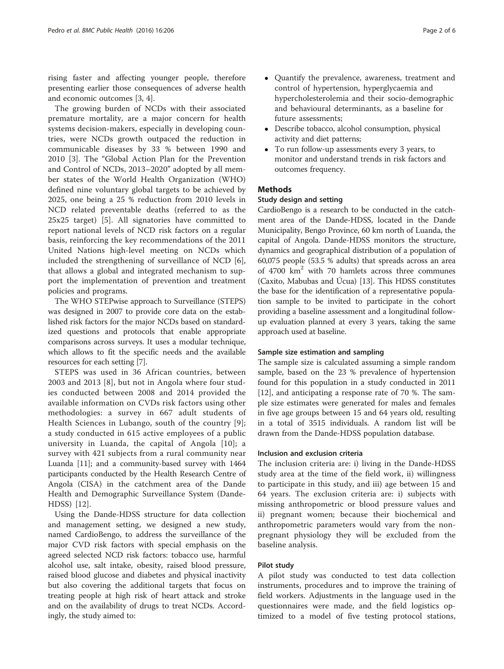rising faster and affecting younger people, therefore presenting earlier those consequences of adverse health and economic outcomes [[3, 4\]](#page--1-0).

The growing burden of NCDs with their associated premature mortality, are a major concern for health systems decision-makers, especially in developing countries, were NCDs growth outpaced the reduction in communicable diseases by 33 % between 1990 and 2010 [\[3](#page--1-0)]. The "Global Action Plan for the Prevention and Control of NCDs, 2013–2020" adopted by all member states of the World Health Organization (WHO) defined nine voluntary global targets to be achieved by 2025, one being a 25 % reduction from 2010 levels in NCD related preventable deaths (referred to as the 25x25 target) [\[5](#page--1-0)]. All signatories have committed to report national levels of NCD risk factors on a regular basis, reinforcing the key recommendations of the 2011 United Nations high-level meeting on NCDs which included the strengthening of surveillance of NCD [\[6](#page--1-0)], that allows a global and integrated mechanism to support the implementation of prevention and treatment policies and programs.

The WHO STEPwise approach to Surveillance (STEPS) was designed in 2007 to provide core data on the established risk factors for the major NCDs based on standardized questions and protocols that enable appropriate comparisons across surveys. It uses a modular technique, which allows to fit the specific needs and the available resources for each setting [\[7](#page--1-0)].

STEPS was used in 36 African countries, between 2003 and 2013 [[8\]](#page--1-0), but not in Angola where four studies conducted between 2008 and 2014 provided the available information on CVDs risk factors using other methodologies: a survey in 667 adult students of Health Sciences in Lubango, south of the country [[9](#page--1-0)]; a study conducted in 615 active employees of a public university in Luanda, the capital of Angola [\[10\]](#page--1-0); a survey with 421 subjects from a rural community near Luanda [\[11\]](#page--1-0); and a community-based survey with 1464 participants conducted by the Health Research Centre of Angola (CISA) in the catchment area of the Dande Health and Demographic Surveillance System (Dande-HDSS) [\[12](#page--1-0)].

Using the Dande-HDSS structure for data collection and management setting, we designed a new study, named CardioBengo, to address the surveillance of the major CVD risk factors with special emphasis on the agreed selected NCD risk factors: tobacco use, harmful alcohol use, salt intake, obesity, raised blood pressure, raised blood glucose and diabetes and physical inactivity but also covering the additional targets that focus on treating people at high risk of heart attack and stroke and on the availability of drugs to treat NCDs. Accordingly, the study aimed to:

- Quantify the prevalence, awareness, treatment and control of hypertension, hyperglycaemia and hypercholesterolemia and their socio-demographic and behavioural determinants, as a baseline for future assessments;
- Describe tobacco, alcohol consumption, physical activity and diet patterns;
- To run follow-up assessments every 3 years, to monitor and understand trends in risk factors and outcomes frequency.

#### Methods

#### Study design and setting

CardioBengo is a research to be conducted in the catchment area of the Dande-HDSS, located in the Dande Municipality, Bengo Province, 60 km north of Luanda, the capital of Angola. Dande-HDSS monitors the structure, dynamics and geographical distribution of a population of 60,075 people (53.5 % adults) that spreads across an area of 4700 km2 with 70 hamlets across three communes (Caxito, Mabubas and Úcua) [\[13\]](#page--1-0). This HDSS constitutes the base for the identification of a representative population sample to be invited to participate in the cohort providing a baseline assessment and a longitudinal followup evaluation planned at every 3 years, taking the same approach used at baseline.

#### Sample size estimation and sampling

The sample size is calculated assuming a simple random sample, based on the 23 % prevalence of hypertension found for this population in a study conducted in 2011 [[12\]](#page--1-0), and anticipating a response rate of 70 %. The sample size estimates were generated for males and females in five age groups between 15 and 64 years old, resulting in a total of 3515 individuals. A random list will be drawn from the Dande-HDSS population database.

#### Inclusion and exclusion criteria

The inclusion criteria are: i) living in the Dande-HDSS study area at the time of the field work, ii) willingness to participate in this study, and iii) age between 15 and 64 years. The exclusion criteria are: i) subjects with missing anthropometric or blood pressure values and ii) pregnant women; because their biochemical and anthropometric parameters would vary from the nonpregnant physiology they will be excluded from the baseline analysis.

#### Pilot study

A pilot study was conducted to test data collection instruments, procedures and to improve the training of field workers. Adjustments in the language used in the questionnaires were made, and the field logistics optimized to a model of five testing protocol stations,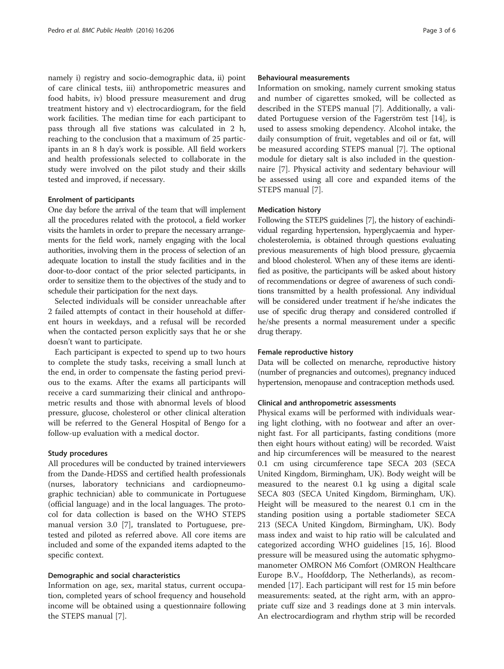namely i) registry and socio-demographic data, ii) point of care clinical tests, iii) anthropometric measures and food habits, iv) blood pressure measurement and drug treatment history and v) electrocardiogram, for the field work facilities. The median time for each participant to pass through all five stations was calculated in 2 h, reaching to the conclusion that a maximum of 25 participants in an 8 h day's work is possible. All field workers and health professionals selected to collaborate in the study were involved on the pilot study and their skills tested and improved, if necessary.

#### Enrolment of participants

One day before the arrival of the team that will implement all the procedures related with the protocol, a field worker visits the hamlets in order to prepare the necessary arrangements for the field work, namely engaging with the local authorities, involving them in the process of selection of an adequate location to install the study facilities and in the door-to-door contact of the prior selected participants, in order to sensitize them to the objectives of the study and to schedule their participation for the next days.

Selected individuals will be consider unreachable after 2 failed attempts of contact in their household at different hours in weekdays, and a refusal will be recorded when the contacted person explicitly says that he or she doesn't want to participate.

Each participant is expected to spend up to two hours to complete the study tasks, receiving a small lunch at the end, in order to compensate the fasting period previous to the exams. After the exams all participants will receive a card summarizing their clinical and anthropometric results and those with abnormal levels of blood pressure, glucose, cholesterol or other clinical alteration will be referred to the General Hospital of Bengo for a follow-up evaluation with a medical doctor.

#### Study procedures

All procedures will be conducted by trained interviewers from the Dande-HDSS and certified health professionals (nurses, laboratory technicians and cardiopneumographic technician) able to communicate in Portuguese (official language) and in the local languages. The protocol for data collection is based on the WHO STEPS manual version 3.0 [[7\]](#page--1-0), translated to Portuguese, pretested and piloted as referred above. All core items are included and some of the expanded items adapted to the specific context.

#### Demographic and social characteristics

Information on age, sex, marital status, current occupation, completed years of school frequency and household income will be obtained using a questionnaire following the STEPS manual [\[7](#page--1-0)].

#### Behavioural measurements

Information on smoking, namely current smoking status and number of cigarettes smoked, will be collected as described in the STEPS manual [\[7](#page--1-0)]. Additionally, a validated Portuguese version of the Fagerström test [\[14](#page--1-0)], is used to assess smoking dependency. Alcohol intake, the daily consumption of fruit, vegetables and oil or fat, will be measured according STEPS manual [[7\]](#page--1-0). The optional module for dietary salt is also included in the questionnaire [[7](#page--1-0)]. Physical activity and sedentary behaviour will be assessed using all core and expanded items of the STEPS manual [[7\]](#page--1-0).

#### Medication history

Following the STEPS guidelines [\[7\]](#page--1-0), the history of eachindividual regarding hypertension, hyperglycaemia and hypercholesterolemia, is obtained through questions evaluating previous measurements of high blood pressure, glycaemia and blood cholesterol. When any of these items are identified as positive, the participants will be asked about history of recommendations or degree of awareness of such conditions transmitted by a health professional. Any individual will be considered under treatment if he/she indicates the use of specific drug therapy and considered controlled if he/she presents a normal measurement under a specific drug therapy.

#### Female reproductive history

Data will be collected on menarche, reproductive history (number of pregnancies and outcomes), pregnancy induced hypertension, menopause and contraception methods used.

#### Clinical and anthropometric assessments

Physical exams will be performed with individuals wearing light clothing, with no footwear and after an overnight fast. For all participants, fasting conditions (more then eight hours without eating) will be recorded. Waist and hip circumferences will be measured to the nearest 0.1 cm using circumference tape SECA 203 (SECA United Kingdom, Birmingham, UK). Body weight will be measured to the nearest 0.1 kg using a digital scale SECA 803 (SECA United Kingdom, Birmingham, UK). Height will be measured to the nearest 0.1 cm in the standing position using a portable stadiometer SECA 213 (SECA United Kingdom, Birmingham, UK). Body mass index and waist to hip ratio will be calculated and categorized according WHO guidelines [\[15](#page--1-0), [16\]](#page--1-0). Blood pressure will be measured using the automatic sphygmomanometer OMRON M6 Comfort (OMRON Healthcare Europe B.V., Hoofddorp, The Netherlands), as recommended [[17](#page--1-0)]. Each participant will rest for 15 min before measurements: seated, at the right arm, with an appropriate cuff size and 3 readings done at 3 min intervals. An electrocardiogram and rhythm strip will be recorded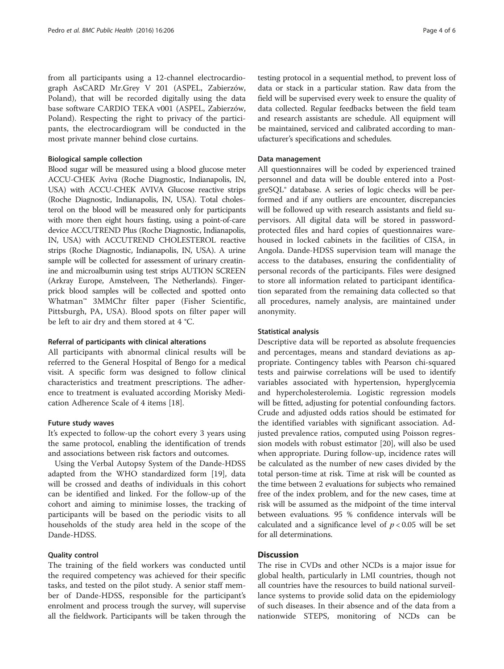from all participants using a 12-channel electrocardiograph AsCARD Mr.Grey V 201 (ASPEL, Zabierzów, Poland), that will be recorded digitally using the data base software CARDIO TEKA v001 (ASPEL, Zabierzów, Poland). Respecting the right to privacy of the participants, the electrocardiogram will be conducted in the most private manner behind close curtains.

#### Biological sample collection

Blood sugar will be measured using a blood glucose meter ACCU-CHEK Aviva (Roche Diagnostic, Indianapolis, IN, USA) with ACCU-CHEK AVIVA Glucose reactive strips (Roche Diagnostic, Indianapolis, IN, USA). Total cholesterol on the blood will be measured only for participants with more then eight hours fasting, using a point-of-care device ACCUTREND Plus (Roche Diagnostic, Indianapolis, IN, USA) with ACCUTREND CHOLESTEROL reactive strips (Roche Diagnostic, Indianapolis, IN, USA). A urine sample will be collected for assessment of urinary creatinine and microalbumin using test strips AUTION SCREEN (Arkray Europe, Amstelveen, The Netherlands). Fingerprick blood samples will be collected and spotted onto Whatman™ 3MMChr filter paper (Fisher Scientific, Pittsburgh, PA, USA). Blood spots on filter paper will be left to air dry and them stored at 4 °C.

#### Referral of participants with clinical alterations

All participants with abnormal clinical results will be referred to the General Hospital of Bengo for a medical visit. A specific form was designed to follow clinical characteristics and treatment prescriptions. The adherence to treatment is evaluated according Morisky Medication Adherence Scale of 4 items [[18](#page--1-0)].

#### Future study waves

It's expected to follow-up the cohort every 3 years using the same protocol, enabling the identification of trends and associations between risk factors and outcomes.

Using the Verbal Autopsy System of the Dande-HDSS adapted from the WHO standardized form [[19\]](#page--1-0), data will be crossed and deaths of individuals in this cohort can be identified and linked. For the follow-up of the cohort and aiming to minimise losses, the tracking of participants will be based on the periodic visits to all households of the study area held in the scope of the Dande-HDSS.

#### Quality control

The training of the field workers was conducted until the required competency was achieved for their specific tasks, and tested on the pilot study. A senior staff member of Dande-HDSS, responsible for the participant's enrolment and process trough the survey, will supervise all the fieldwork. Participants will be taken through the testing protocol in a sequential method, to prevent loss of data or stack in a particular station. Raw data from the field will be supervised every week to ensure the quality of data collected. Regular feedbacks between the field team and research assistants are schedule. All equipment will be maintained, serviced and calibrated according to manufacturer's specifications and schedules.

#### Data management

All questionnaires will be coded by experienced trained personnel and data will be double entered into a PostgreSQL® database. A series of logic checks will be performed and if any outliers are encounter, discrepancies will be followed up with research assistants and field supervisors. All digital data will be stored in passwordprotected files and hard copies of questionnaires warehoused in locked cabinets in the facilities of CISA, in Angola. Dande-HDSS supervision team will manage the access to the databases, ensuring the confidentiality of personal records of the participants. Files were designed to store all information related to participant identification separated from the remaining data collected so that all procedures, namely analysis, are maintained under anonymity.

#### Statistical analysis

Descriptive data will be reported as absolute frequencies and percentages, means and standard deviations as appropriate. Contingency tables with Pearson chi-squared tests and pairwise correlations will be used to identify variables associated with hypertension, hyperglycemia and hypercholesterolemia. Logistic regression models will be fitted, adjusting for potential confounding factors. Crude and adjusted odds ratios should be estimated for the identified variables with significant association. Adjusted prevalence ratios, computed using Poisson regression models with robust estimator [\[20](#page--1-0)], will also be used when appropriate. During follow-up, incidence rates will be calculated as the number of new cases divided by the total person-time at risk. Time at risk will be counted as the time between 2 evaluations for subjects who remained free of the index problem, and for the new cases, time at risk will be assumed as the midpoint of the time interval between evaluations. 95 % confidence intervals will be calculated and a significance level of  $p < 0.05$  will be set for all determinations.

### **Discussion**

The rise in CVDs and other NCDs is a major issue for global health, particularly in LMI countries, though not all countries have the resources to build national surveillance systems to provide solid data on the epidemiology of such diseases. In their absence and of the data from a nationwide STEPS, monitoring of NCDs can be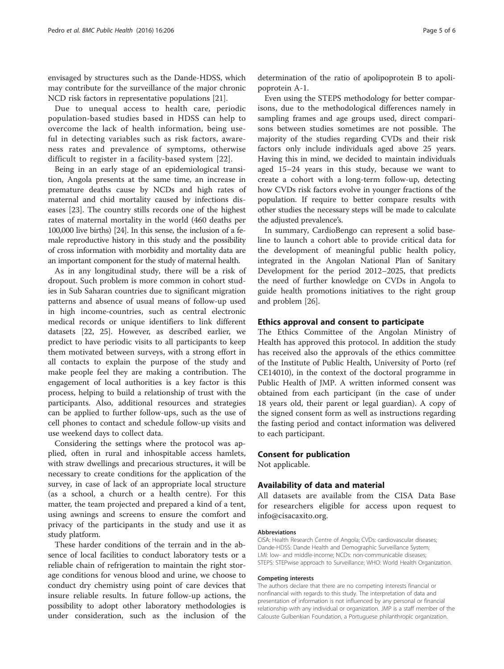envisaged by structures such as the Dande-HDSS, which may contribute for the surveillance of the major chronic NCD risk factors in representative populations [\[21\]](#page--1-0).

Due to unequal access to health care, periodic population-based studies based in HDSS can help to overcome the lack of health information, being useful in detecting variables such as risk factors, awareness rates and prevalence of symptoms, otherwise difficult to register in a facility-based system [[22](#page--1-0)].

Being in an early stage of an epidemiological transition, Angola presents at the same time, an increase in premature deaths cause by NCDs and high rates of maternal and chid mortality caused by infections diseases [\[23](#page--1-0)]. The country stills records one of the highest rates of maternal mortality in the world (460 deaths per 100,000 live births) [\[24\]](#page--1-0). In this sense, the inclusion of a female reproductive history in this study and the possibility of cross information with morbidity and mortality data are an important component for the study of maternal health.

As in any longitudinal study, there will be a risk of dropout. Such problem is more common in cohort studies in Sub Saharan countries due to significant migration patterns and absence of usual means of follow-up used in high income-countries, such as central electronic medical records or unique identifiers to link different datasets [\[22](#page--1-0), [25\]](#page--1-0). However, as described earlier, we predict to have periodic visits to all participants to keep them motivated between surveys, with a strong effort in all contacts to explain the purpose of the study and make people feel they are making a contribution. The engagement of local authorities is a key factor is this process, helping to build a relationship of trust with the participants. Also, additional resources and strategies can be applied to further follow-ups, such as the use of cell phones to contact and schedule follow-up visits and use weekend days to collect data.

Considering the settings where the protocol was applied, often in rural and inhospitable access hamlets, with straw dwellings and precarious structures, it will be necessary to create conditions for the application of the survey, in case of lack of an appropriate local structure (as a school, a church or a health centre). For this matter, the team projected and prepared a kind of a tent, using awnings and screens to ensure the comfort and privacy of the participants in the study and use it as study platform.

These harder conditions of the terrain and in the absence of local facilities to conduct laboratory tests or a reliable chain of refrigeration to maintain the right storage conditions for venous blood and urine, we choose to conduct dry chemistry using point of care devices that insure reliable results. In future follow-up actions, the possibility to adopt other laboratory methodologies is under consideration, such as the inclusion of the determination of the ratio of apolipoprotein B to apolipoprotein A-1.

Even using the STEPS methodology for better comparisons, due to the methodological differences namely in sampling frames and age groups used, direct comparisons between studies sometimes are not possible. The majority of the studies regarding CVDs and their risk factors only include individuals aged above 25 years. Having this in mind, we decided to maintain individuals aged 15–24 years in this study, because we want to create a cohort with a long-term follow-up, detecting how CVDs risk factors evolve in younger fractions of the population. If require to better compare results with other studies the necessary steps will be made to calculate the adjusted prevalence's.

In summary, CardioBengo can represent a solid baseline to launch a cohort able to provide critical data for the development of meaningful public health policy, integrated in the Angolan National Plan of Sanitary Development for the period 2012–2025, that predicts the need of further knowledge on CVDs in Angola to guide health promotions initiatives to the right group and problem [\[26\]](#page--1-0).

#### Ethics approval and consent to participate

The Ethics Committee of the Angolan Ministry of Health has approved this protocol. In addition the study has received also the approvals of the ethics committee of the Institute of Public Health, University of Porto (ref CE14010), in the context of the doctoral programme in Public Health of JMP. A written informed consent was obtained from each participant (in the case of under 18 years old, their parent or legal guardian). A copy of the signed consent form as well as instructions regarding the fasting period and contact information was delivered to each participant.

#### Consent for publication

Not applicable.

#### Availability of data and material

All datasets are available from the CISA Data Base for researchers eligible for access upon request to info@cisacaxito.org.

#### Abbreviations

CISA: Health Research Centre of Angola; CVDs: cardiovascular diseases; Dande-HDSS: Dande Health and Demographic Surveillance System; LMI: low- and middle-income; NCDs: non-communicable diseases; STEPS: STEPwise approach to Surveillance; WHO: World Health Organization.

#### Competing interests

The authors declare that there are no competing interests financial or nonfinancial with regards to this study. The interpretation of data and presentation of information is not influenced by any personal or financial relationship with any individual or organization. JMP is a staff member of the Calouste Gulbenkian Foundation, a Portuguese philanthropic organization.